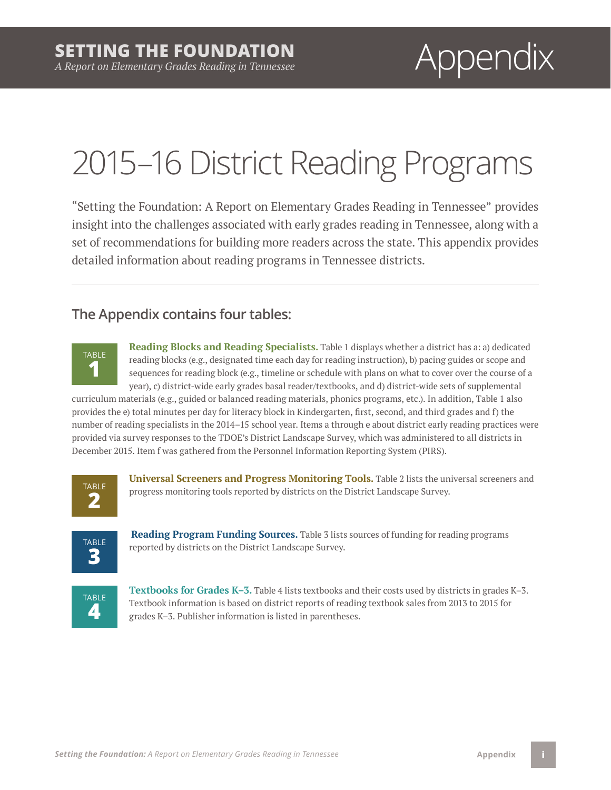# 2015–16 District Reading Programs

"Setting the Foundation: A Report on Elementary Grades Reading in Tennessee" provides insight into the challenges associated with early grades reading in Tennessee, along with a set of recommendations for building more readers across the state. This appendix provides detailed information about reading programs in Tennessee districts.

### **The Appendix contains four tables:**



**Reading Blocks and Reading Specialists.** Table 1 displays whether a district has a: a) dedicated reading blocks (e.g., designated time each day for reading instruction), b) pacing guides or scope and sequences for reading block (e.g., timeline or schedule with plans on what to cover over the course of a year), c) district-wide early grades basal reader/textbooks, and d) district-wide sets of supplemental

curriculum materials (e.g., guided or balanced reading materials, phonics programs, etc.). In addition, Table 1 also provides the e) total minutes per day for literacy block in Kindergarten, first, second, and third grades and f) the number of reading specialists in the 2014–15 school year. Items a through e about district early reading practices were provided via survey responses to the TDOE's District Landscape Survey, which was administered to all districts in December 2015. Item f was gathered from the Personnel Information Reporting System (PIRS).



**Universal Screeners and Progress Monitoring Tools.** Table 2 lists the universal screeners and progress monitoring tools reported by districts on the District Landscape Survey.



**Reading Program Funding Sources.** Table 3 lists sources of funding for reading programs reported by districts on the District Landscape Survey.



**Textbooks for Grades K–3.** Table 4 lists textbooks and their costs used by districts in grades K–3. Textbook information is based on district reports of reading textbook sales from 2013 to 2015 for grades K–3. Publisher information is listed in parentheses.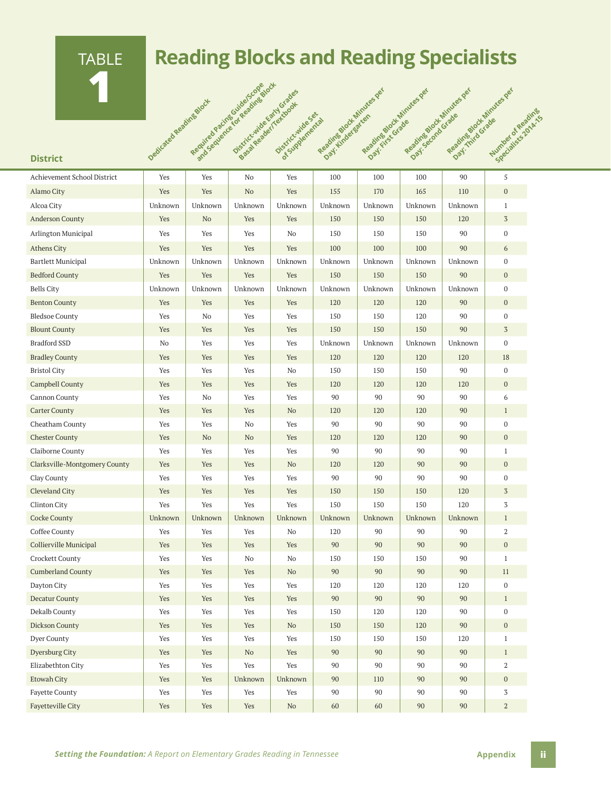# TABLE **1** District oedicated Reading Block

# **Reading Blocks and Reading Specialists**

**Reading Block Minutes per** 

**Reading Block Minutes per** 

Reading Block Minutes per

Reading Block Minutes per additional

**Number of Reading** 

| Achievement School District   | Yes     | Yes     | No             | Yes      | 100     | 100     | 100     | 90      | 5                |
|-------------------------------|---------|---------|----------------|----------|---------|---------|---------|---------|------------------|
| Alamo City                    | Yes     | Yes     | N <sub>o</sub> | Yes      | 155     | 170     | 165     | 110     | $\boldsymbol{0}$ |
| Alcoa City                    | Unknown | Unknown | Unknown        | Unknown  | Unknown | Unknown | Unknown | Unknown | $\mathbf{1}$     |
| <b>Anderson County</b>        | Yes     | No      | Yes            | Yes      | 150     | 150     | 150     | 120     | $\sqrt{3}$       |
| Arlington Municipal           | Yes     | Yes     | Yes            | No       | 150     | 150     | 150     | 90      | $\boldsymbol{0}$ |
| <b>Athens City</b>            | Yes     | Yes     | Yes            | Yes      | 100     | 100     | 100     | 90      | 6                |
| <b>Bartlett Municipal</b>     | Unknown | Unknown | Unknown        | Unknown  | Unknown | Unknown | Unknown | Unknown | $\mathbf{0}$     |
| <b>Bedford County</b>         | Yes     | Yes     | Yes            | Yes      | 150     | 150     | 150     | 90      | $\mathbf{0}$     |
| <b>Bells City</b>             | Unknown | Unknown | Unknown        | Unknown  | Unknown | Unknown | Unknown | Unknown | $\boldsymbol{0}$ |
| <b>Benton County</b>          | Yes     | Yes     | Yes            | Yes      | 120     | 120     | 120     | 90      | $\mathbf{0}$     |
| <b>Bledsoe County</b>         | Yes     | No      | Yes            | Yes      | 150     | 150     | 120     | 90      | $\mathbf{0}$     |
| <b>Blount County</b>          | Yes     | Yes     | Yes            | Yes      | 150     | 150     | 150     | 90      | 3                |
| Bradford SSD                  | No      | Yes     | Yes            | Yes      | Unknown | Unknown | Unknown | Unknown | $\bf{0}$         |
| <b>Bradley County</b>         | Yes     | Yes     | Yes            | Yes      | 120     | 120     | 120     | 120     | 18               |
| <b>Bristol City</b>           | Yes     | Yes     | Yes            | No       | 150     | 150     | 150     | 90      | $\boldsymbol{0}$ |
| <b>Campbell County</b>        | Yes     | Yes     | Yes            | Yes      | 120     | 120     | 120     | 120     | $\mathbf{0}$     |
| Cannon County                 | Yes     | No      | Yes            | Yes      | 90      | 90      | 90      | 90      | 6                |
| <b>Carter County</b>          | Yes     | Yes     | Yes            | No       | 120     | 120     | 120     | 90      | $\mathbf{1}$     |
| Cheatham County               | Yes     | Yes     | No             | Yes      | 90      | 90      | 90      | 90      | $\boldsymbol{0}$ |
| <b>Chester County</b>         | Yes     | No      | No             | Yes      | 120     | 120     | 120     | 90      | $\mathbf{0}$     |
| Claiborne County              | Yes     | Yes     | Yes            | Yes      | 90      | 90      | 90      | 90      | $\mathbf{1}$     |
| Clarksville-Montgomery County | Yes     | Yes     | Yes            | No       | 120     | 120     | 90      | 90      | $\mathbf{0}$     |
| Clay County                   | Yes     | Yes     | Yes            | Yes      | 90      | 90      | 90      | 90      | $\mathbf{0}$     |
| Cleveland City                | Yes     | Yes     | Yes            | Yes      | 150     | 150     | 150     | 120     | 3                |
| Clinton City                  | Yes     | Yes     | Yes            | Yes      | 150     | 150     | 150     | 120     | 3                |
| <b>Cocke County</b>           | Unknown | Unknown | Unknown        | Unknown  | Unknown | Unknown | Unknown | Unknown | $\mathbf{1}$     |
| Coffee County                 | Yes     | Yes     | Yes            | No       | 120     | 90      | 90      | 90      | $\overline{2}$   |
| Collierville Municipal        | Yes     | Yes     | Yes            | Yes      | 90      | 90      | 90      | 90      | $\mathbf{0}$     |
| Crockett County               | Yes     | Yes     | No             | No       | 150     | 150     | 150     | 90      | $\mathbf{1}$     |
| <b>Cumberland County</b>      | Yes     | Yes     | Yes            | No       | 90      | 90      | 90      | 90      | 11               |
| Dayton City                   | Yes     | Yes     | Yes            | Yes      | 120     | 120     | 120     | 120     | $\boldsymbol{0}$ |
| Decatur County                | Yes     | Yes     | Yes            | Yes      | 90      | 90      | 90      | 90      | $\mathbf{1}$     |
| Dekalb County                 | Yes     | Yes     | Yes            | Yes      | 150     | 120     | 120     | 90      | $\boldsymbol{0}$ |
| Dickson County                | Yes     | Yes     | Yes            | $\rm No$ | 150     | 150     | 120     | 90      | $\boldsymbol{0}$ |
| Dyer County                   | Yes     | Yes     | Yes            | Yes      | 150     | 150     | 150     | 120     | $\mathbf{1}$     |
| Dyersburg City                | Yes     | Yes     | No             | Yes      | 90      | 90      | 90      | 90      | $\mathbf{1}$     |
| Elizabethton City             | Yes     | Yes     | Yes            | Yes      | 90      | 90      | 90      | 90      | $\,2$            |
| Etowah City                   | Yes     | Yes     | Unknown        | Unknown  | 90      | 110     | 90      | 90      | $\mathbf{0}$     |
| <b>Fayette County</b>         | Yes     | Yes     | Yes            | Yes      | 90      | 90      | 90      | 90      | $\overline{3}$   |
| Fayetteville City             | Yes     | Yes     | Yes            | $\rm No$ | $60\,$  | 60      | 90      | 90      | $\overline{a}$   |

Required Required Pacific School and Sexual Block and Sexual Block and Sexual Block

**District Reader**<br>Principles and Readers of Critics and

Districtive Set &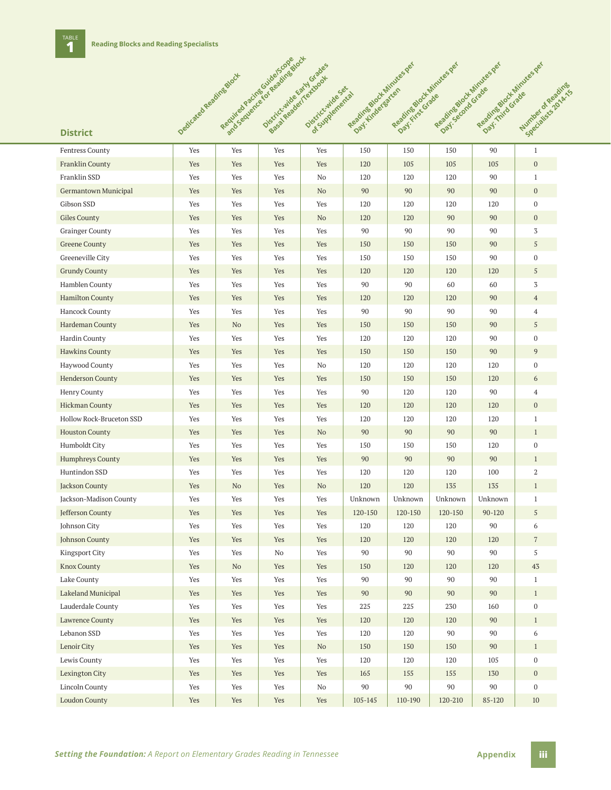|                          |                         | Required Pacification and Division of the | Districtivide Early Grades |                        | Reading Doct Minutes per | Reading Northinites per | Regalites block Minikes per | Regalized of Hintes per |                                   |
|--------------------------|-------------------------|-------------------------------------------|----------------------------|------------------------|--------------------------|-------------------------|-----------------------------|-------------------------|-----------------------------------|
|                          | Dedicated Reading Stock |                                           | Sessite Registrations      | Distribution of Sex of | Day: Kindergaren         |                         | Day: secretarizate          |                         |                                   |
|                          |                         |                                           |                            |                        |                          | Day: First Grade        |                             | Day: This Grade         | Number of Read<br>Specialists 2nd |
|                          |                         |                                           |                            |                        |                          |                         |                             |                         |                                   |
| <b>District</b>          |                         |                                           |                            |                        |                          |                         |                             |                         |                                   |
| <b>Fentress County</b>   | Yes                     | Yes                                       | Yes                        | Yes                    | 150                      | 150                     | 150                         | 90                      | $\mathbf{1}$                      |
| <b>Franklin County</b>   | Yes                     | Yes                                       | Yes                        | Yes                    | 120                      | 105                     | 105                         | 105                     | $\boldsymbol{0}$                  |
| Franklin SSD             | Yes                     | Yes                                       | Yes                        | No                     | 120                      | 120                     | 120                         | 90                      | $\mathbf{1}$                      |
| Germantown Municipal     | Yes                     | Yes                                       | Yes                        | N <sub>o</sub>         | 90                       | 90                      | 90                          | 90                      | $\mathbf{0}$                      |
| Gibson SSD               | Yes                     | Yes                                       | Yes                        | Yes                    | 120                      | 120                     | 120                         | 120                     | $\boldsymbol{0}$                  |
| <b>Giles County</b>      | Yes                     | Yes                                       | Yes                        | No                     | 120                      | 120                     | 90                          | 90                      | $\mathbf{0}$                      |
| <b>Grainger County</b>   | Yes                     | Yes                                       | Yes                        | Yes                    | 90                       | 90                      | 90                          | 90                      | 3                                 |
| <b>Greene County</b>     | Yes                     | Yes                                       | Yes                        | Yes                    | 150                      | 150                     | 150                         | 90                      | $\sqrt{5}$                        |
| Greeneville City         | Yes                     | Yes                                       | Yes                        | Yes                    | 150                      | 150                     | 150                         | 90                      | $\boldsymbol{0}$                  |
| <b>Grundy County</b>     | Yes                     | Yes                                       | Yes                        | Yes                    | 120                      | 120                     | 120                         | 120                     | 5                                 |
| Hamblen County           | Yes                     | Yes                                       | Yes                        | Yes                    | 90                       | 90                      | 60                          | 60                      | 3                                 |
| <b>Hamilton County</b>   | Yes                     | Yes                                       | Yes                        | Yes                    | 120                      | 120                     | 120                         | 90                      | $\overline{4}$                    |
| Hancock County           | Yes                     | Yes                                       | Yes                        | Yes                    | 90                       | 90                      | 90                          | 90                      | $\overline{4}$                    |
| Hardeman County          | Yes                     | N <sub>o</sub>                            | Yes                        | Yes                    | 150                      | 150                     | 150                         | 90                      | 5                                 |
| Hardin County            | Yes                     | Yes                                       | Yes                        | Yes                    | 120                      | 120                     | 120                         | 90                      | $\mathbf{0}$                      |
| <b>Hawkins County</b>    | Yes                     | Yes                                       | Yes                        | Yes                    | 150                      | 150                     | 150                         | 90                      | 9                                 |
| Haywood County           | Yes                     | Yes                                       | Yes                        | No                     | 120                      | 120                     | 120                         | 120                     | $\boldsymbol{0}$                  |
| <b>Henderson County</b>  | Yes                     | Yes                                       | Yes                        | Yes                    | 150                      | 150                     | 150                         | 120                     | 6                                 |
| Henry County             | Yes                     | Yes                                       | Yes                        | Yes                    | 90                       | 120                     | 120                         | 90                      | $\overline{4}$                    |
| <b>Hickman County</b>    | Yes                     | Yes                                       | Yes                        | Yes                    | 120                      | 120                     | 120                         | 120                     | $\mathbf{0}$                      |
| Hollow Rock-Bruceton SSD | Yes                     | Yes                                       | Yes                        | Yes                    | 120                      | 120                     | 120                         | 120                     | $\mathbf{1}$                      |
| <b>Houston County</b>    | Yes                     | Yes                                       | Yes                        | No                     | 90                       | 90                      | 90                          | 90                      | $\mathbf{1}$                      |
| Humboldt City            | Yes                     | Yes                                       | Yes                        | Yes                    | 150                      | 150                     | 150                         | 120                     | $\mathbf{0}$                      |
| <b>Humphreys County</b>  | Yes                     | Yes                                       | Yes                        | Yes                    | 90                       | 90                      | 90                          | 90                      | $\mathbf{1}$                      |
| Huntindon SSD            | Yes                     | Yes                                       | Yes                        | Yes                    | 120                      | 120                     | 120                         | 100                     | $\overline{2}$                    |
| Jackson County           | Yes                     | N <sub>o</sub>                            | Yes                        | No                     | 120                      | 120                     | 135                         | 135                     | $\mathbf{1}$                      |
| Jackson-Madison County   | Yes                     | Yes                                       | Yes                        | Yes                    | Unknown                  | Unknown                 | Unknown                     | Unknown                 | $\mathbf{1}$                      |
| Jefferson County         | Yes                     | Yes                                       | Yes                        | Yes                    | 120-150                  | 120-150                 | 120-150                     | 90-120                  | 5                                 |
| Johnson City             | Yes                     | Yes                                       | Yes                        | Yes                    | 120                      | 120                     | 120                         | 90                      | 6                                 |
| Johnson County           | Yes                     | Yes                                       | Yes                        | Yes                    | 120                      | 120                     | 120                         | 120                     | $\sqrt{7}$                        |
| Kingsport City           | Yes                     | Yes                                       | No                         | Yes                    | 90                       | 90                      | 90                          | 90                      | 5                                 |
| <b>Knox County</b>       | Yes                     | No                                        | Yes                        | Yes                    | 150                      | 120                     | 120                         | 120                     | 43                                |
| Lake County              | Yes                     | Yes                                       | Yes                        | Yes                    | 90                       | 90                      | 90                          | 90                      | $\mathbf{1}$                      |
| Lakeland Municipal       | Yes                     | Yes                                       | Yes                        | Yes                    | 90                       | 90                      | 90                          | 90                      | $\mathbf{1}$                      |
| Lauderdale County        | Yes                     | Yes                                       | Yes                        | Yes                    | 225                      | 225                     | 230                         | 160                     | $\boldsymbol{0}$                  |
| Lawrence County          | Yes                     | Yes                                       | Yes                        | Yes                    | 120                      | 120                     | 120                         | 90                      | $\mathbf{1}$                      |
| Lebanon SSD              | Yes                     | Yes                                       | Yes                        | Yes                    | 120                      | 120                     | 90                          | 90                      | 6                                 |
| Lenoir City              | Yes                     | Yes                                       | Yes                        | $\rm No$               | 150                      | 150                     | 150                         | 90                      | $\mathbf{1}$                      |
| Lewis County             | Yes                     | Yes                                       | Yes                        | Yes                    | 120                      | 120                     | 120                         | 105                     | $\bf{0}$                          |
| Lexington City           | Yes                     | Yes                                       | Yes                        | Yes                    | 165                      | 155                     | 155                         | 130                     | $\mathbf{0}$                      |
| Lincoln County           | Yes                     | Yes                                       | Yes                        | No                     | 90                       | 90                      | 90                          | 90                      | $\bf{0}$                          |
| <b>Loudon County</b>     | Yes                     | Yes                                       | Yes                        | Yes                    | 105-145                  | 110-190                 | 120-210                     | 85-120                  | $10\,$                            |
|                          |                         |                                           |                            |                        |                          |                         |                             |                         |                                   |

**Required Pacific Guide/Scope Book**<br>Required Bracing Guide and Block and

**Number of Reading**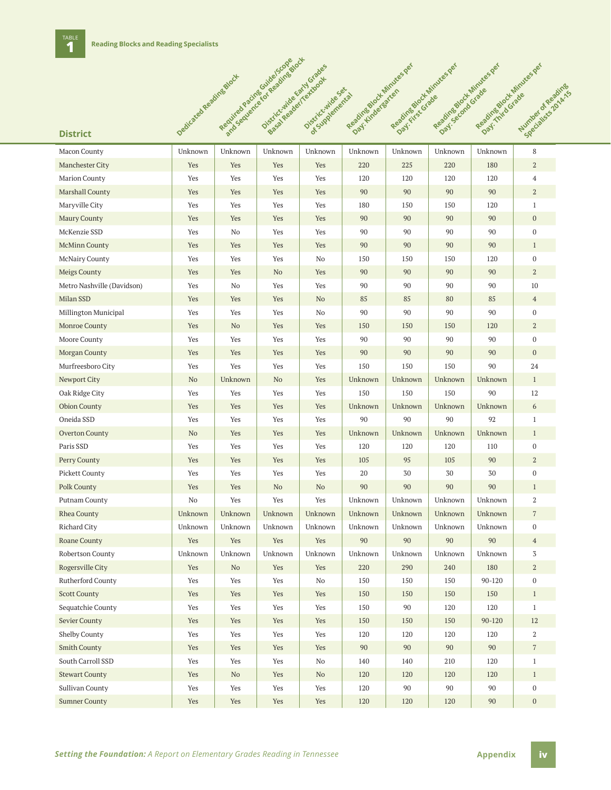# **District** o<sup>edicated Reading Block</sup>

TABLE<br>1

| Macon County               | Unknown | Unknown        | Unknown        | Unknown | Unknown | Unknown | Unknown | Unknown | 8                |
|----------------------------|---------|----------------|----------------|---------|---------|---------|---------|---------|------------------|
| <b>Manchester City</b>     | Yes     | Yes            | Yes            | Yes     | 220     | 225     | 220     | 180     | $\boldsymbol{2}$ |
| <b>Marion County</b>       | Yes     | Yes            | Yes            | Yes     | 120     | 120     | 120     | 120     | $\overline{4}$   |
| Marshall County            | Yes     | Yes            | Yes            | Yes     | 90      | 90      | 90      | 90      | $\overline{a}$   |
| Maryville City             | Yes     | Yes            | Yes            | Yes     | 180     | 150     | 150     | 120     | $\mathbf{1}$     |
| Maury County               | Yes     | Yes            | Yes            | Yes     | 90      | 90      | 90      | 90      | $\boldsymbol{0}$ |
| McKenzie SSD               | Yes     | No             | Yes            | Yes     | 90      | 90      | 90      | 90      | $\boldsymbol{0}$ |
| <b>McMinn County</b>       | Yes     | Yes            | Yes            | Yes     | 90      | 90      | 90      | 90      | $\mathbf{1}$     |
| McNairy County             | Yes     | Yes            | Yes            | No      | 150     | 150     | 150     | 120     | $\mathbf 0$      |
| Meigs County               | Yes     | Yes            | N <sub>o</sub> | Yes     | 90      | 90      | 90      | 90      | $\mathbf{2}$     |
| Metro Nashville (Davidson) | Yes     | No             | Yes            | Yes     | 90      | 90      | 90      | 90      | 10               |
| Milan SSD                  | Yes     | Yes            | Yes            | No      | 85      | 85      | 80      | 85      | $\overline{4}$   |
| Millington Municipal       | Yes     | Yes            | Yes            | No      | 90      | 90      | 90      | 90      | $\mathbf 0$      |
| Monroe County              | Yes     | N <sub>o</sub> | Yes            | Yes     | 150     | 150     | 150     | 120     | $\mathbf{2}$     |
| Moore County               | Yes     | Yes            | Yes            | Yes     | 90      | 90      | 90      | 90      | $\boldsymbol{0}$ |
| Morgan County              | Yes     | Yes            | Yes            | Yes     | 90      | 90      | 90      | 90      | $\mathbf{0}$     |
| Murfreesboro City          | Yes     | Yes            | Yes            | Yes     | 150     | 150     | 150     | 90      | 24               |
| Newport City               | No      | Unknown        | N <sub>o</sub> | Yes     | Unknown | Unknown | Unknown | Unknown | $\mathbf{1}$     |
| Oak Ridge City             | Yes     | Yes            | Yes            | Yes     | 150     | 150     | 150     | 90      | 12               |
| <b>Obion County</b>        | Yes     | Yes            | Yes            | Yes     | Unknown | Unknown | Unknown | Unknown | 6                |
| Oneida SSD                 | Yes     | Yes            | Yes            | Yes     | 90      | 90      | 90      | 92      | $\mathbf{1}$     |
| <b>Overton County</b>      | No      | Yes            | Yes            | Yes     | Unknown | Unknown | Unknown | Unknown | $\mathbf{1}$     |
| Paris SSD                  | Yes     | Yes            | Yes            | Yes     | 120     | 120     | 120     | 110     | $\boldsymbol{0}$ |
| Perry County               | Yes     | Yes            | Yes            | Yes     | 105     | 95      | 105     | 90      | $\boldsymbol{2}$ |
| <b>Pickett County</b>      | Yes     | Yes            | Yes            | Yes     | 20      | 30      | 30      | 30      | $\boldsymbol{0}$ |
| Polk County                | Yes     | Yes            | N <sub>o</sub> | No      | 90      | 90      | 90      | 90      | $\mathbf{1}$     |
| Putnam County              | No      | Yes            | Yes            | Yes     | Unknown | Unknown | Unknown | Unknown | $\overline{2}$   |
| Rhea County                | Unknown | Unknown        | Unknown        | Unknown | Unknown | Unknown | Unknown | Unknown | $\sqrt{7}$       |
| Richard City               | Unknown | Unknown        | Unknown        | Unknown | Unknown | Unknown | Unknown | Unknown | $\mathbf 0$      |
| Roane County               | Yes     | Yes            | Yes            | Yes     | 90      | 90      | 90      | 90      | $\overline{4}$   |
| Robertson County           | Unknown | Unknown        | Unknown        | Unknown | Unknown | Unknown | Unknown | Unknown | 3                |
| Rogersville City           | Yes     | N <sub>o</sub> | Yes            | Yes     | 220     | 290     | 240     | 180     | $\boldsymbol{2}$ |
| Rutherford County          | Yes     | Yes            | Yes            | No      | 150     | 150     | 150     | 90-120  | $\boldsymbol{0}$ |
| <b>Scott County</b>        | Yes     | Yes            | Yes            | Yes     | $150\,$ | 150     | 150     | $150\,$ | $\mathbf{1}$     |
| Sequatchie County          | Yes     | Yes            | Yes            | Yes     | 150     | 90      | 120     | 120     | $\mathbf{1}$     |
| Sevier County              | Yes     | Yes            | Yes            | Yes     | 150     | 150     | 150     | 90-120  | 12               |
| Shelby County              | Yes     | Yes            | Yes            | Yes     | 120     | 120     | 120     | 120     | 2                |
| <b>Smith County</b>        | Yes     | Yes            | Yes            | Yes     | 90      | 90      | 90      | 90      | $7\phantom{.}$   |
| South Carroll SSD          | Yes     | Yes            | Yes            | No      | 140     | 140     | 210     | 120     | $\mathbf{1}$     |
| <b>Stewart County</b>      | Yes     | No             | Yes            | No      | 120     | 120     | 120     | 120     | $\mathbf{1}$     |
| Sullivan County            | Yes     | Yes            | Yes            | Yes     | 120     | 90      | 90      | 90      | $\bf{0}$         |
| <b>Sumner County</b>       | Yes     | Yes            | Yes            | Yes     | 120     | 120     | 120     | 90      | $\boldsymbol{0}$ |

Required Required Pacific For Reading Block<br>Required Block and Required Block<br>Pacific Scope Pacific For Reading

**District Reader**<br>Partick Reader (Red Reader)

**Distriction**<br>Districtionemental

**Reading Block Minutes per** 

Reading Block Minutes per

Reading Block Minutes per

Reading Block Minutes per address of the Second Windows

**Number of Reading**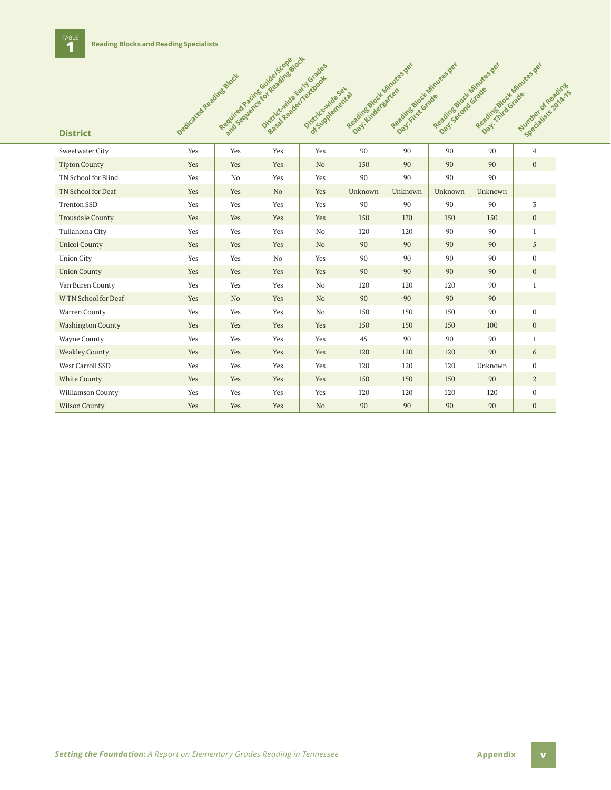|                          | Dedicated Reading Stock | Required package in the advised box | Districtmide Early Grades<br>Basa Readerications | Districtmide sex<br>of Supperrential | Regalizable to Minutes per | Reading Block Minutes Jer<br>Day: rives Grade | Regalized of Minutes per | Reading Block Minutes per<br>Day: Third Grade | Number of Regains<br>Specialists Towne |
|--------------------------|-------------------------|-------------------------------------|--------------------------------------------------|--------------------------------------|----------------------------|-----------------------------------------------|--------------------------|-----------------------------------------------|----------------------------------------|
| <b>District</b>          |                         |                                     |                                                  |                                      |                            |                                               |                          |                                               |                                        |
| Sweetwater City          | Yes                     | Yes                                 | Yes                                              | Yes                                  | 90                         | 90                                            | 90                       | 90                                            | $\overline{4}$                         |
| <b>Tipton County</b>     | Yes                     | Yes                                 | Yes                                              | No                                   | 150                        | 90                                            | 90                       | 90                                            | $\overline{0}$                         |
| TN School for Blind      | Yes                     | No                                  | Yes                                              | Yes                                  | 90                         | 90                                            | 90                       | 90                                            |                                        |
| TN School for Deaf       | Yes                     | Yes                                 | N <sub>o</sub>                                   | Yes                                  | Unknown                    | Unknown                                       | Unknown                  | Unknown                                       |                                        |
| <b>Trenton SSD</b>       | Yes                     | Yes                                 | Yes                                              | Yes                                  | 90                         | 90                                            | 90                       | 90                                            | 3                                      |
| <b>Trousdale County</b>  | Yes                     | Yes                                 | Yes                                              | Yes                                  | 150                        | 170                                           | 150                      | 150                                           | $\boldsymbol{0}$                       |
| Tullahoma City           | Yes                     | Yes                                 | Yes                                              | No                                   | 120                        | 120                                           | 90                       | 90                                            | $\mathbf{1}$                           |
| <b>Unicoi County</b>     | Yes                     | Yes                                 | Yes                                              | No                                   | 90                         | 90                                            | 90                       | 90                                            | 5                                      |
| <b>Union City</b>        | Yes                     | Yes                                 | N <sub>0</sub>                                   | Yes                                  | 90                         | 90                                            | 90                       | 90                                            | $\mathbf{0}$                           |
| <b>Union County</b>      | Yes                     | Yes                                 | Yes                                              | Yes                                  | 90                         | 90                                            | 90                       | 90                                            | $\mathbf{0}$                           |
| Van Buren County         | Yes                     | Yes                                 | Yes                                              | N <sub>0</sub>                       | 120                        | 120                                           | 120                      | 90                                            | $\mathbf{1}$                           |
| W TN School for Deaf     | Yes                     | N <sub>o</sub>                      | Yes                                              | No                                   | 90                         | 90                                            | 90                       | 90                                            |                                        |
| Warren County            | Yes                     | Yes                                 | Yes                                              | No                                   | 150                        | 150                                           | 150                      | 90                                            | $\mathbf{0}$                           |
| <b>Washington County</b> | Yes                     | Yes                                 | Yes                                              | Yes                                  | 150                        | 150                                           | 150                      | 100                                           | $\mathbf{0}$                           |
| <b>Wayne County</b>      | Yes                     | Yes                                 | Yes                                              | Yes                                  | 45                         | 90                                            | 90                       | 90                                            | $\mathbf{1}$                           |
| <b>Weakley County</b>    | Yes                     | Yes                                 | Yes                                              | Yes                                  | 120                        | 120                                           | 120                      | 90                                            | 6                                      |
| West Carroll SSD         | Yes                     | Yes                                 | Yes                                              | Yes                                  | 120                        | 120                                           | 120                      | Unknown                                       | $\boldsymbol{0}$                       |
| <b>White County</b>      | Yes                     | Yes                                 | Yes                                              | Yes                                  | 150                        | 150                                           | 150                      | 90                                            | $\overline{a}$                         |
| Williamson County        | Yes                     | Yes                                 | Yes                                              | Yes                                  | 120                        | 120                                           | 120                      | 120                                           | $\bf{0}$                               |
| <b>Wilson County</b>     | Yes                     | Yes                                 | Yes                                              | No                                   | 90                         | 90                                            | 90                       | 90                                            | $\mathbf{0}$                           |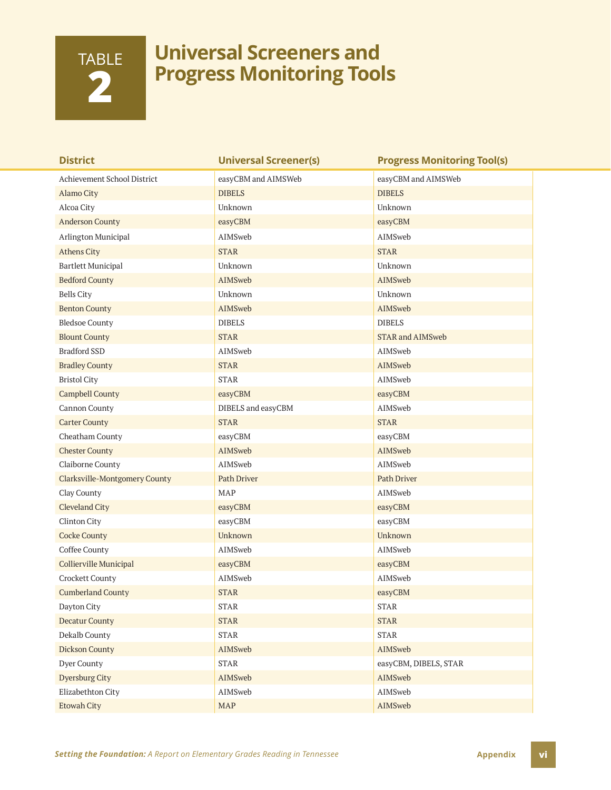# TABLE **2**

## **Universal Screeners and Progress Monitoring Tools**

| <b>District</b>               | <b>Universal Screener(s)</b> | <b>Progress Monitoring Tool(s)</b> |
|-------------------------------|------------------------------|------------------------------------|
| Achievement School District   | easyCBM and AIMSWeb          | easyCBM and AIMSWeb                |
| Alamo City                    | <b>DIBELS</b>                | <b>DIBELS</b>                      |
| Alcoa City                    | Unknown                      | Unknown                            |
| <b>Anderson County</b>        | easyCBM                      | easyCBM                            |
| Arlington Municipal           | AIMSweb                      | AIMSweb                            |
| <b>Athens City</b>            | <b>STAR</b>                  | <b>STAR</b>                        |
| <b>Bartlett Municipal</b>     | Unknown                      | Unknown                            |
| <b>Bedford County</b>         | AIMSweb                      | AIMSweb                            |
| <b>Bells City</b>             | Unknown                      | Unknown                            |
| <b>Benton County</b>          | AIMSweb                      | AIMSweb                            |
| <b>Bledsoe County</b>         | <b>DIBELS</b>                | <b>DIBELS</b>                      |
| <b>Blount County</b>          | <b>STAR</b>                  | <b>STAR and AIMSweb</b>            |
| <b>Bradford SSD</b>           | AIMSweb                      | AIMSweb                            |
| <b>Bradley County</b>         | <b>STAR</b>                  | AIMSweb                            |
| <b>Bristol City</b>           | <b>STAR</b>                  | AIMSweb                            |
| <b>Campbell County</b>        | easyCBM                      | easyCBM                            |
| Cannon County                 | DIBELS and easyCBM           | AIMSweb                            |
| <b>Carter County</b>          | <b>STAR</b>                  | <b>STAR</b>                        |
| Cheatham County               | easyCBM                      | easyCBM                            |
| <b>Chester County</b>         | AIMSweb                      | AIMSweb                            |
| Claiborne County              | AIMSweb                      | AIMSweb                            |
| Clarksville-Montgomery County | <b>Path Driver</b>           | Path Driver                        |
| Clay County                   | MAP                          | AIMSweb                            |
| <b>Cleveland City</b>         | easyCBM                      | easyCBM                            |
| Clinton City                  | easyCBM                      | easyCBM                            |
| <b>Cocke County</b>           | Unknown                      | Unknown                            |
| Coffee County                 | AIMSweb                      | AIMSweb                            |
| Collierville Municipal        | easyCBM                      | easyCBM                            |
| Crockett County               | AIMSweb                      | AIMSweb                            |
| <b>Cumberland County</b>      | <b>STAR</b>                  | easyCBM                            |
| Dayton City                   | <b>STAR</b>                  | $\operatorname{STAR}$              |
| <b>Decatur County</b>         | <b>STAR</b>                  | <b>STAR</b>                        |
| Dekalb County                 | <b>STAR</b>                  | <b>STAR</b>                        |
| <b>Dickson County</b>         | AIMSweb                      | AIMSweb                            |
| Dyer County                   | <b>STAR</b>                  | easyCBM, DIBELS, STAR              |
| <b>Dyersburg City</b>         | AIMSweb                      | AIMSweb                            |
| Elizabethton City             | AIMSweb                      | AIMSweb                            |
| <b>Etowah City</b>            | MAP                          | AIMSweb                            |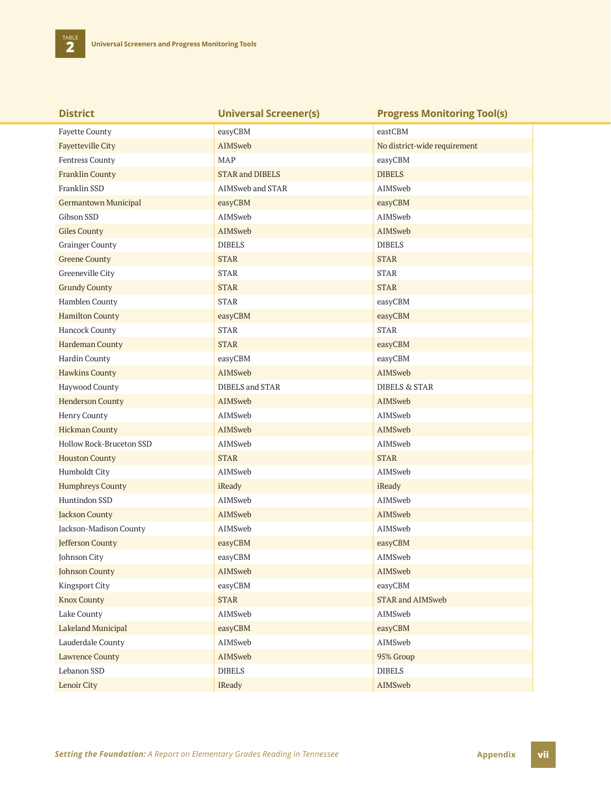**TABLE** 

| <b>District</b>             | <b>Universal Screener(s)</b> | <b>Progress Monitoring Tool(s)</b> |
|-----------------------------|------------------------------|------------------------------------|
| <b>Fayette County</b>       | easyCBM                      | eastCBM                            |
| <b>Fayetteville City</b>    | AIMSweb                      | No district-wide requirement       |
| Fentress County             | <b>MAP</b>                   | easyCBM                            |
| <b>Franklin County</b>      | <b>STAR and DIBELS</b>       | <b>DIBELS</b>                      |
| Franklin SSD                | AIMSweb and STAR             | AIMSweb                            |
| <b>Germantown Municipal</b> | easyCBM                      | easyCBM                            |
| Gibson SSD                  | AIMSweb                      | AIMSweb                            |
| <b>Giles County</b>         | AIMSweb                      | AIMSweb                            |
| <b>Grainger County</b>      | <b>DIBELS</b>                | <b>DIBELS</b>                      |
| <b>Greene County</b>        | <b>STAR</b>                  | <b>STAR</b>                        |
| Greeneville City            | <b>STAR</b>                  | <b>STAR</b>                        |
| <b>Grundy County</b>        | <b>STAR</b>                  | <b>STAR</b>                        |
| Hamblen County              | <b>STAR</b>                  | easyCBM                            |
| <b>Hamilton County</b>      | easyCBM                      | easyCBM                            |
| Hancock County              | <b>STAR</b>                  | <b>STAR</b>                        |
| Hardeman County             | <b>STAR</b>                  | easyCBM                            |
| Hardin County               | easyCBM                      | easyCBM                            |
| <b>Hawkins County</b>       | AIMSweb                      | AIMSweb                            |
| Haywood County              | DIBELS and STAR              | <b>DIBELS &amp; STAR</b>           |
| <b>Henderson County</b>     | AIMSweb                      | AIMSweb                            |
| Henry County                | AIMSweb                      | AIMSweb                            |
| <b>Hickman County</b>       | AIMSweb                      | AIMSweb                            |
| Hollow Rock-Bruceton SSD    | AIMSweb                      | AIMSweb                            |
| <b>Houston County</b>       | <b>STAR</b>                  | <b>STAR</b>                        |
| Humboldt City               | AIMSweb                      | AIMSweb                            |
| <b>Humphreys County</b>     | iReady                       | iReady                             |
| Huntindon SSD               | AIMSweb                      | AIMSweb                            |
| <b>Jackson County</b>       | AIMSweb                      | AIMSweb                            |
| Jackson-Madison County      | AIMSweb                      | AIMSweb                            |
| Jefferson County            | easyCBM                      | easyCBM                            |
| Johnson City                | easyCBM                      | AIMSweb                            |
| <b>Johnson County</b>       | AIMSweb                      | AIMSweb                            |
| Kingsport City              | easyCBM                      | easyCBM                            |
| <b>Knox County</b>          | <b>STAR</b>                  | <b>STAR and AIMSweb</b>            |
| Lake County                 | AIMSweb                      | AIMSweb                            |
| Lakeland Municipal          | easyCBM                      | easyCBM                            |
| Lauderdale County           | AIMSweb                      | AIMSweb                            |
| <b>Lawrence County</b>      | AIMSweb                      | 95% Group                          |
| Lebanon SSD                 | <b>DIBELS</b>                | <b>DIBELS</b>                      |
| Lenoir City                 | IReady                       | AIMSweb                            |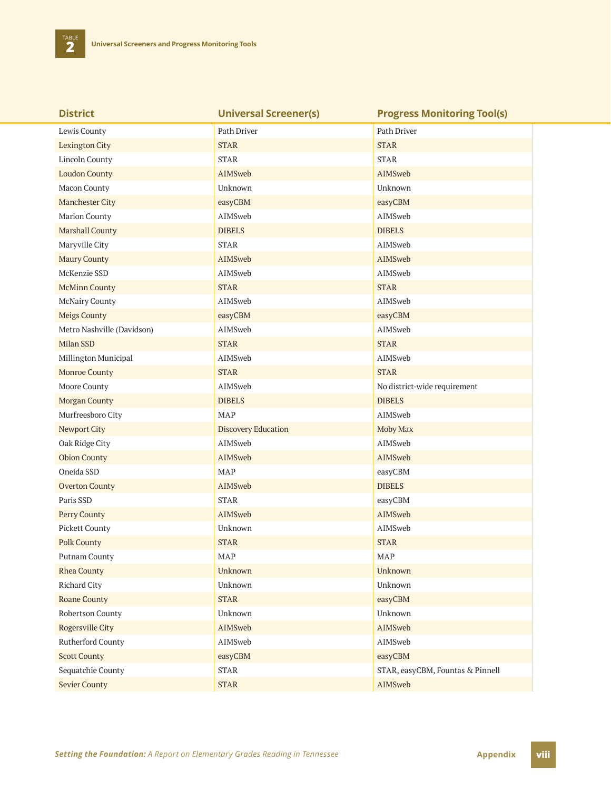**TABLE** 

| <b>District</b>            | <b>Universal Screener(s)</b> | <b>Progress Monitoring Tool(s)</b> |
|----------------------------|------------------------------|------------------------------------|
| Lewis County               | Path Driver                  | Path Driver                        |
| <b>Lexington City</b>      | <b>STAR</b>                  | <b>STAR</b>                        |
| Lincoln County             | <b>STAR</b>                  | <b>STAR</b>                        |
| <b>Loudon County</b>       | AIMSweb                      | AIMSweb                            |
| Macon County               | Unknown                      | Unknown                            |
| <b>Manchester City</b>     | easyCBM                      | easyCBM                            |
| <b>Marion County</b>       | AIMSweb                      | AIMSweb                            |
| <b>Marshall County</b>     | <b>DIBELS</b>                | <b>DIBELS</b>                      |
| Maryville City             | <b>STAR</b>                  | AIMSweb                            |
| Maury County               | AIMSweb                      | AIMSweb                            |
| McKenzie SSD               | AIMSweb                      | AIMSweb                            |
| <b>McMinn County</b>       | <b>STAR</b>                  | <b>STAR</b>                        |
| <b>McNairy County</b>      | AIMSweb                      | AIMSweb                            |
| <b>Meigs County</b>        | easyCBM                      | easyCBM                            |
| Metro Nashville (Davidson) | AIMSweb                      | AIMSweb                            |
| Milan SSD                  | <b>STAR</b>                  | <b>STAR</b>                        |
| Millington Municipal       | AIMSweb                      | AIMSweb                            |
| <b>Monroe County</b>       | <b>STAR</b>                  | <b>STAR</b>                        |
| Moore County               | AIMSweb                      | No district-wide requirement       |
| <b>Morgan County</b>       | <b>DIBELS</b>                | <b>DIBELS</b>                      |
| Murfreesboro City          | <b>MAP</b>                   | AIMSweb                            |
| Newport City               | <b>Discovery Education</b>   | Moby Max                           |
| Oak Ridge City             | AIMSweb                      | AIMSweb                            |
| <b>Obion County</b>        | AIMSweb                      | AIMSweb                            |
| Oneida SSD                 | <b>MAP</b>                   | easyCBM                            |
| <b>Overton County</b>      | AIMSweb                      | <b>DIBELS</b>                      |
| Paris SSD                  | <b>STAR</b>                  | easyCBM                            |
| Perry County               | <b>AIMSweb</b>               | AIMSweb                            |
| <b>Pickett County</b>      | Unknown                      | AIMSweb                            |
| <b>Polk County</b>         | <b>STAR</b>                  | <b>STAR</b>                        |
| Putnam County              | MAP                          | MAP                                |
| <b>Rhea County</b>         | Unknown                      | Unknown                            |
| Richard City               | Unknown                      | Unknown                            |
| Roane County               | <b>STAR</b>                  | easyCBM                            |
| Robertson County           | Unknown                      | Unknown                            |
| <b>Rogersville City</b>    | AIMSweb                      | AIMSweb                            |
| Rutherford County          | AIMSweb                      | AIMSweb                            |
| <b>Scott County</b>        | easyCBM                      | easyCBM                            |
| Sequatchie County          | <b>STAR</b>                  | STAR, easyCBM, Fountas & Pinnell   |
| <b>Sevier County</b>       | <b>STAR</b>                  | AIMSweb                            |

**Setting the Foundation:** A Report on Elementary Grades Reading in Tennessee **Appendix Appendix viii**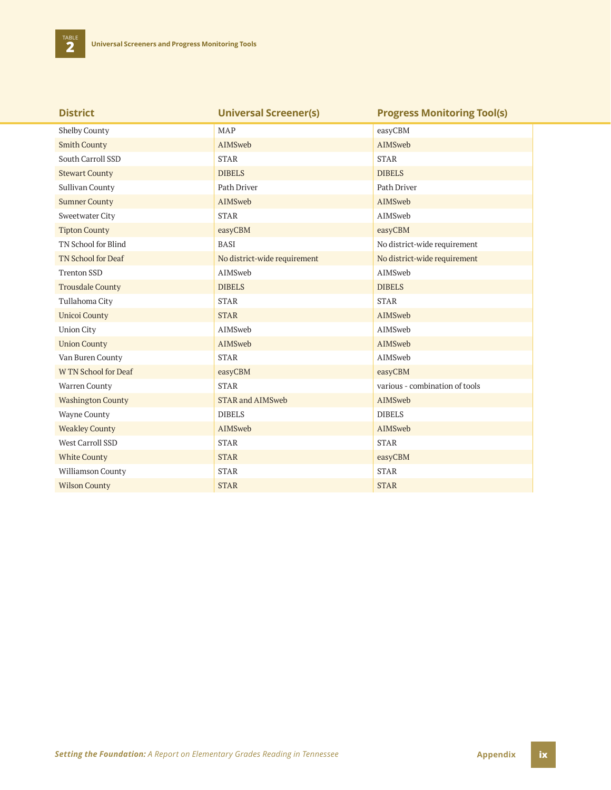| <b>District</b>          | <b>Universal Screener(s)</b> | <b>Progress Monitoring Tool(s)</b> |
|--------------------------|------------------------------|------------------------------------|
| <b>Shelby County</b>     | <b>MAP</b>                   | easyCBM                            |
| <b>Smith County</b>      | AIMSweb                      | AIMSweb                            |
| South Carroll SSD        | <b>STAR</b>                  | <b>STAR</b>                        |
| <b>Stewart County</b>    | <b>DIBELS</b>                | <b>DIBELS</b>                      |
| <b>Sullivan County</b>   | Path Driver                  | Path Driver                        |
| <b>Sumner County</b>     | AIMSweb                      | AIMSweb                            |
| Sweetwater City          | <b>STAR</b>                  | AIMSweb                            |
| <b>Tipton County</b>     | easyCBM                      | easyCBM                            |
| TN School for Blind      | <b>BASI</b>                  | No district-wide requirement       |
| TN School for Deaf       | No district-wide requirement | No district-wide requirement       |
| <b>Trenton SSD</b>       | AIMSweb                      | AIMSweb                            |
| <b>Trousdale County</b>  | <b>DIBELS</b>                | <b>DIBELS</b>                      |
| Tullahoma City           | <b>STAR</b>                  | <b>STAR</b>                        |
| <b>Unicoi County</b>     | <b>STAR</b>                  | AIMSweb                            |
| <b>Union City</b>        | AIMSweb                      | AIMSweb                            |
| <b>Union County</b>      | AIMSweb                      | AIMSweb                            |
| Van Buren County         | <b>STAR</b>                  | AIMSweb                            |
| W TN School for Deaf     | easyCBM                      | easyCBM                            |
| Warren County            | <b>STAR</b>                  | various - combination of tools     |
| <b>Washington County</b> | <b>STAR and AIMSweb</b>      | <b>AIMSweb</b>                     |
| Wayne County             | <b>DIBELS</b>                | <b>DIBELS</b>                      |
| <b>Weakley County</b>    | AIMSweb                      | AIMSweb                            |
| West Carroll SSD         | <b>STAR</b>                  | <b>STAR</b>                        |
| <b>White County</b>      | <b>STAR</b>                  | easyCBM                            |
| Williamson County        | <b>STAR</b>                  | <b>STAR</b>                        |
| <b>Wilson County</b>     | <b>STAR</b>                  | <b>STAR</b>                        |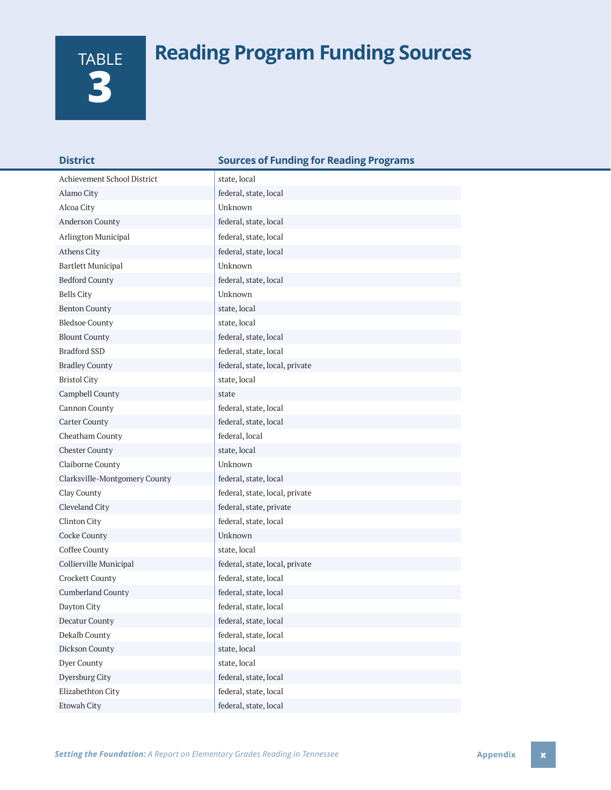# **Reading Program Funding Sources**

| TABLE |
|-------|
|       |
|       |
|       |

| <b>District</b>               | <b>Sources of Funding for Reading Programs</b> |
|-------------------------------|------------------------------------------------|
| Achievement School District   | state, local                                   |
| Alamo City                    | federal, state, local                          |
| Alcoa City                    | Unknown                                        |
| Anderson County               | federal, state, local                          |
| Arlington Municipal           | federal, state, local                          |
| Athens City                   | federal, state, local                          |
| <b>Bartlett Municipal</b>     | Unknown                                        |
| <b>Bedford County</b>         | federal, state, local                          |
| <b>Bells City</b>             | Unknown                                        |
| <b>Benton County</b>          | state, local                                   |
| <b>Bledsoe County</b>         | state, local                                   |
| <b>Blount County</b>          | federal, state, local                          |
| <b>Bradford SSD</b>           | federal, state, local                          |
| <b>Bradley County</b>         | federal, state, local, private                 |
| <b>Bristol City</b>           | state, local                                   |
| Campbell County               | state                                          |
| Cannon County                 | federal, state, local                          |
| Carter County                 | federal, state, local                          |
| Cheatham County               | federal, local                                 |
| <b>Chester County</b>         | state, local                                   |
| Claiborne County              | Unknown                                        |
| Clarksville-Montgomery County | federal, state, local                          |
| Clay County                   | federal, state, local, private                 |
| Cleveland City                | federal, state, private                        |
| Clinton City                  | federal, state, local                          |
| Cocke County                  | Unknown                                        |
| Coffee County                 | state, local                                   |
| Collierville Municipal        | federal, state, local, private                 |
| Crockett County               | federal, state, local                          |
| <b>Cumberland County</b>      | federal, state, local                          |
| Dayton City                   | federal, state, local                          |
| Decatur County                | federal, state, local                          |
| Dekalb County                 | federal, state, local                          |
| Dickson County                | state, local                                   |
| Dyer County                   | state, local                                   |
| Dyersburg City                | federal, state, local                          |
| Elizabethton City             | federal, state, local                          |
| Etowah City                   | federal, state, local                          |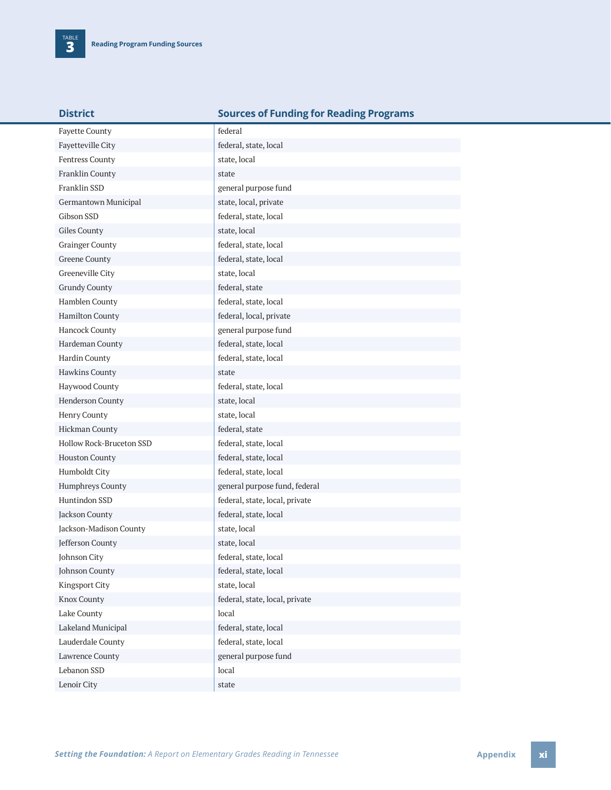|  | <b>District</b> |  |
|--|-----------------|--|
|  |                 |  |
|  |                 |  |

#### **Sources of Funding for Reading Programs**

| <b>Fayette County</b>    | federal                        |
|--------------------------|--------------------------------|
| Fayetteville City        | federal, state, local          |
| Fentress County          | state, local                   |
| Franklin County          | state                          |
| Franklin SSD             | general purpose fund           |
| Germantown Municipal     | state, local, private          |
| Gibson SSD               | federal, state, local          |
| Giles County             | state, local                   |
| <b>Grainger County</b>   | federal, state, local          |
| <b>Greene County</b>     | federal, state, local          |
| Greeneville City         | state, local                   |
| <b>Grundy County</b>     | federal, state                 |
| Hamblen County           | federal, state, local          |
| <b>Hamilton County</b>   | federal, local, private        |
| Hancock County           | general purpose fund           |
| Hardeman County          | federal, state, local          |
| Hardin County            | federal, state, local          |
| Hawkins County           | state                          |
| Haywood County           | federal, state, local          |
| Henderson County         | state, local                   |
| Henry County             | state, local                   |
| Hickman County           | federal, state                 |
| Hollow Rock-Bruceton SSD | federal, state, local          |
| <b>Houston County</b>    | federal, state, local          |
| Humboldt City            | federal, state, local          |
| Humphreys County         | general purpose fund, federal  |
| Huntindon SSD            | federal, state, local, private |
| Jackson County           | federal, state, local          |
| Jackson-Madison County   | state, local                   |
| Jefferson County         | state, local                   |
| Johnson City             | federal, state, local          |
| Johnson County           | federal, state, local          |
| <b>Kingsport City</b>    | state, local                   |
| Knox County              | federal, state, local, private |
| Lake County              | local                          |
| Lakeland Municipal       | federal, state, local          |
| Lauderdale County        | federal, state, local          |
| Lawrence County          | general purpose fund           |
| Lebanon SSD              | local                          |
| Lenoir City              | state                          |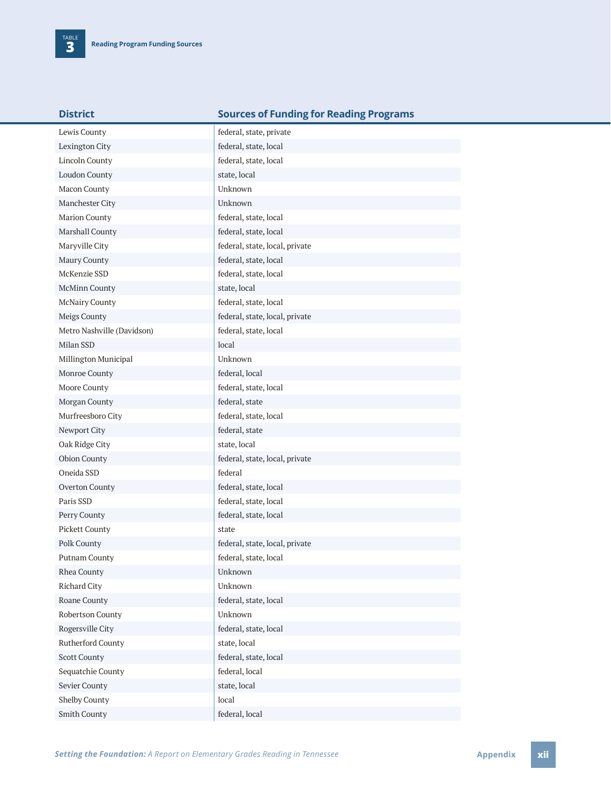| <b>District</b>            | <b>Sources of Funding for Reading Programs</b> |
|----------------------------|------------------------------------------------|
| Lewis County               | federal, state, private                        |
| Lexington City             | federal, state, local                          |
| Lincoln County             | federal, state, local                          |
| <b>Loudon County</b>       | state, local                                   |
| Macon County               | Unknown                                        |
| Manchester City            | Unknown                                        |
| Marion County              | federal, state, local                          |
| Marshall County            | federal, state, local                          |
| Maryville City             | federal, state, local, private                 |
| Maury County               | federal, state, local                          |
| McKenzie SSD               | federal, state, local                          |
| McMinn County              | state, local                                   |
| <b>McNairy County</b>      | federal, state, local                          |
| Meigs County               | federal, state, local, private                 |
| Metro Nashville (Davidson) | federal, state, local                          |
| Milan SSD                  | local                                          |
| Millington Municipal       | Unknown                                        |
| Monroe County              | federal, local                                 |
| Moore County               | federal, state, local                          |
| Morgan County              | federal, state                                 |
| Murfreesboro City          | federal, state, local                          |
| Newport City               | federal, state                                 |
| Oak Ridge City             | state, local                                   |
| <b>Obion County</b>        | federal, state, local, private                 |
| Oneida SSD                 | federal                                        |
| Overton County             | federal, state, local                          |
| Paris SSD                  | federal, state, local                          |
| Perry County               | federal, state, local                          |
| Pickett County             | state                                          |
| Polk County                | federal, state, local, private                 |
| Putnam County              | federal, state, local                          |
| Rhea County                | Unknown                                        |
| Richard City               | Unknown                                        |
| Roane County               | federal, state, local                          |
| Robertson County           | Unknown                                        |
| Rogersville City           | federal, state, local                          |
| Rutherford County          | state, local                                   |
| <b>Scott County</b>        | federal, state, local                          |
| Sequatchie County          | federal, local                                 |
| Sevier County              | state, local                                   |
| Shelby County              | local                                          |
| Smith County               | federal, local                                 |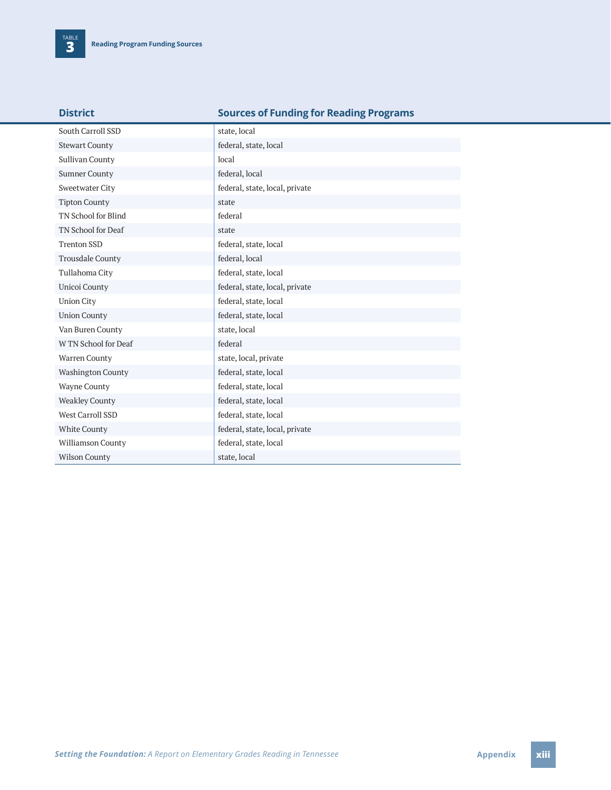| South Carroll SSD        | state, local                   |
|--------------------------|--------------------------------|
| <b>Stewart County</b>    | federal, state, local          |
| <b>Sullivan County</b>   | local                          |
| <b>Sumner County</b>     | federal, local                 |
| <b>Sweetwater City</b>   | federal, state, local, private |
| <b>Tipton County</b>     | state                          |
| TN School for Blind      | federal                        |
| TN School for Deaf       | state                          |
| <b>Trenton SSD</b>       | federal, state, local          |
| <b>Trousdale County</b>  | federal, local                 |
| Tullahoma City           | federal, state, local          |
| Unicoi County            | federal, state, local, private |
| <b>Union City</b>        | federal, state, local          |
| <b>Union County</b>      | federal, state, local          |
| Van Buren County         | state, local                   |
| W TN School for Deaf     | federal                        |
| Warren County            | state, local, private          |
| <b>Washington County</b> | federal, state, local          |
| <b>Wayne County</b>      | federal, state, local          |
| <b>Weakley County</b>    | federal, state, local          |
| West Carroll SSD         | federal, state, local          |
| White County             | federal, state, local, private |
| <b>Williamson County</b> | federal, state, local          |
| <b>Wilson County</b>     | state, local                   |

### **District Sources of Funding for Reading Programs**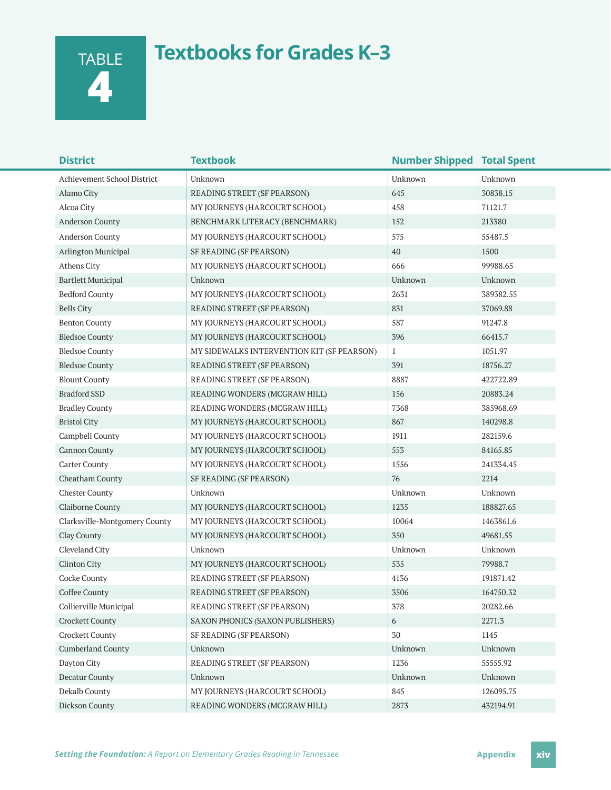TABLE **4**

# **Textbooks for Grades K–3**

| <b>District</b>               | <b>Textbook</b>                            | <b>Number Shipped Total Spent</b> |           |
|-------------------------------|--------------------------------------------|-----------------------------------|-----------|
| Achievement School District   | Unknown                                    | Unknown                           | Unknown   |
| Alamo City                    | READING STREET (SF PEARSON)                | 645                               | 30838.15  |
| Alcoa City                    | MY JOURNEYS (HARCOURT SCHOOL)              | 458                               | 71121.7   |
| Anderson County               | BENCHMARK LITERACY (BENCHMARK)             | 152                               | 213380    |
| Anderson County               | MY JOURNEYS (HARCOURT SCHOOL)              | 575                               | 55487.5   |
| Arlington Municipal           | SF READING (SF PEARSON)                    | 40                                | 1500      |
| Athens City                   | MY JOURNEYS (HARCOURT SCHOOL)              | 666                               | 99988.65  |
| <b>Bartlett Municipal</b>     | Unknown                                    | Unknown                           | Unknown   |
| <b>Bedford County</b>         | MY JOURNEYS (HARCOURT SCHOOL)              | 2631                              | 389382.55 |
| <b>Bells City</b>             | READING STREET (SF PEARSON)                | 831                               | 37069.88  |
| <b>Benton County</b>          | MY JOURNEYS (HARCOURT SCHOOL)              | 587                               | 91247.8   |
| <b>Bledsoe County</b>         | MY JOURNEYS (HARCOURT SCHOOL)              | 396                               | 66415.7   |
| <b>Bledsoe County</b>         | MY SIDEWALKS INTERVENTION KIT (SF PEARSON) | $\mathbf{1}$                      | 1051.97   |
| <b>Bledsoe County</b>         | READING STREET (SF PEARSON)                | 391                               | 18756.27  |
| <b>Blount County</b>          | READING STREET (SF PEARSON)                | 8887                              | 422722.89 |
| <b>Bradford SSD</b>           | READING WONDERS (MCGRAW HILL)              | 156                               | 20883.24  |
| <b>Bradley County</b>         | READING WONDERS (MCGRAW HILL)              | 7368                              | 385968.69 |
| <b>Bristol City</b>           | MY JOURNEYS (HARCOURT SCHOOL)              | 867                               | 140298.8  |
| Campbell County               | MY JOURNEYS (HARCOURT SCHOOL)              | 1911                              | 282159.6  |
| <b>Cannon County</b>          | MY JOURNEYS (HARCOURT SCHOOL)              | 553                               | 84165.85  |
| Carter County                 | MY JOURNEYS (HARCOURT SCHOOL)              | 1556                              | 241334.45 |
| Cheatham County               | SF READING (SF PEARSON)                    | 76                                | 2214      |
| <b>Chester County</b>         | Unknown                                    | Unknown                           | Unknown   |
| Claiborne County              | MY JOURNEYS (HARCOURT SCHOOL)              | 1235                              | 188827.65 |
| Clarksville-Montgomery County | MY JOURNEYS (HARCOURT SCHOOL)              | 10064                             | 1463861.6 |
| Clay County                   | MY JOURNEYS (HARCOURT SCHOOL)              | 350                               | 49681.55  |
| Cleveland City                | Unknown                                    | Unknown                           | Unknown   |
| Clinton City                  | MY JOURNEYS (HARCOURT SCHOOL)              | 535                               | 79988.7   |
| Cocke County                  | READING STREET (SF PEARSON)                | 4136                              | 191871.42 |
| Coffee County                 | READING STREET (SF PEARSON)                | 3506                              | 164750.32 |
| Collierville Municipal        | READING STREET (SF PEARSON)                | 378                               | 20282.66  |
| <b>Crockett County</b>        | SAXON PHONICS (SAXON PUBLISHERS)           | 6                                 | 2271.3    |
| Crockett County               | SF READING (SF PEARSON)                    | 30                                | 1145      |
| <b>Cumberland County</b>      | Unknown                                    | Unknown                           | Unknown   |
| Dayton City                   | READING STREET (SF PEARSON)                | 1236                              | 55555.92  |
| Decatur County                | Unknown                                    | Unknown                           | Unknown   |
| Dekalb County                 | MY JOURNEYS (HARCOURT SCHOOL)              | 845                               | 126095.75 |
| Dickson County                | READING WONDERS (MCGRAW HILL)              | 2873                              | 432194.91 |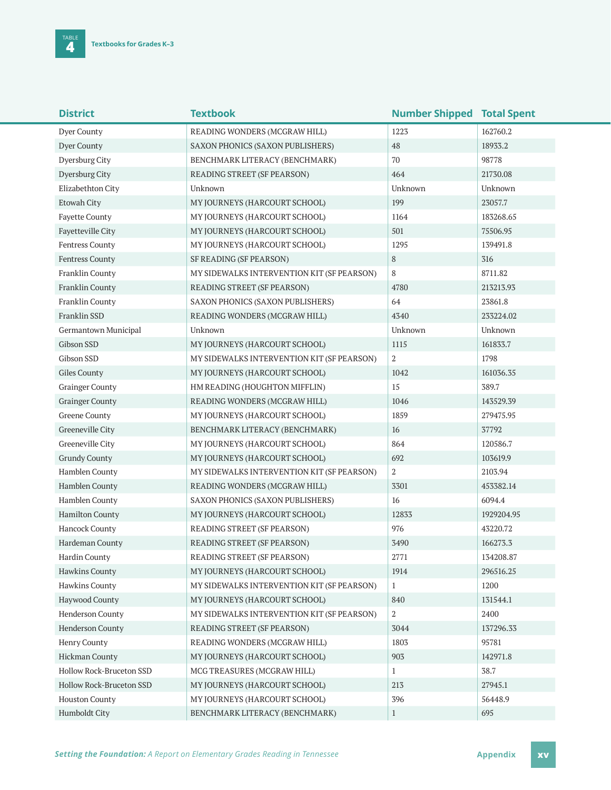| <b>District</b>          | <b>Textbook</b>                            | <b>Number Shipped Total Spent</b> |            |
|--------------------------|--------------------------------------------|-----------------------------------|------------|
| Dyer County              | READING WONDERS (MCGRAW HILL)              | 1223                              | 162760.2   |
| Dyer County              | SAXON PHONICS (SAXON PUBLISHERS)           | 48                                | 18933.2    |
| Dyersburg City           | BENCHMARK LITERACY (BENCHMARK)             | 70                                | 98778      |
| Dyersburg City           | READING STREET (SF PEARSON)                | 464                               | 21730.08   |
| Elizabethton City        | Unknown                                    | Unknown                           | Unknown    |
| Etowah City              | MY JOURNEYS (HARCOURT SCHOOL)              | 199                               | 23057.7    |
| <b>Fayette County</b>    | MY JOURNEYS (HARCOURT SCHOOL)              | 1164                              | 183268.65  |
| Fayetteville City        | MY JOURNEYS (HARCOURT SCHOOL)              | 501                               | 75506.95   |
| Fentress County          | MY JOURNEYS (HARCOURT SCHOOL)              | 1295                              | 139491.8   |
| <b>Fentress County</b>   | SF READING (SF PEARSON)                    | 8                                 | 316        |
| Franklin County          | MY SIDEWALKS INTERVENTION KIT (SF PEARSON) | 8                                 | 8711.82    |
| Franklin County          | READING STREET (SF PEARSON)                | 4780                              | 213213.93  |
| Franklin County          | SAXON PHONICS (SAXON PUBLISHERS)           | 64                                | 23861.8    |
| Franklin SSD             | READING WONDERS (MCGRAW HILL)              | 4340                              | 233224.02  |
| Germantown Municipal     | Unknown                                    | Unknown                           | Unknown    |
| Gibson SSD               | MY JOURNEYS (HARCOURT SCHOOL)              | 1115                              | 161833.7   |
| Gibson SSD               | MY SIDEWALKS INTERVENTION KIT (SF PEARSON) | 2                                 | 1798       |
| Giles County             | MY JOURNEYS (HARCOURT SCHOOL)              | 1042                              | 161036.35  |
| <b>Grainger County</b>   | HM READING (HOUGHTON MIFFLIN)              | 15                                | 389.7      |
| <b>Grainger County</b>   | READING WONDERS (MCGRAW HILL)              | 1046                              | 143529.39  |
| Greene County            | MY JOURNEYS (HARCOURT SCHOOL)              | 1859                              | 279475.95  |
| Greeneville City         | BENCHMARK LITERACY (BENCHMARK)             | 16                                | 37792      |
| Greeneville City         | MY JOURNEYS (HARCOURT SCHOOL)              | 864                               | 120586.7   |
| <b>Grundy County</b>     | MY JOURNEYS (HARCOURT SCHOOL)              | 692                               | 103619.9   |
| Hamblen County           | MY SIDEWALKS INTERVENTION KIT (SF PEARSON) | 2                                 | 2103.94    |
| Hamblen County           | READING WONDERS (MCGRAW HILL)              | 3301                              | 453382.14  |
| Hamblen County           | SAXON PHONICS (SAXON PUBLISHERS)           | 16                                | 6094.4     |
| <b>Hamilton County</b>   | MY JOURNEYS (HARCOURT SCHOOL)              | 12833                             | 1929204.95 |
| Hancock County           | READING STREET (SF PEARSON)                | 976                               | 43220.72   |
| Hardeman County          | READING STREET (SF PEARSON)                | 3490                              | 166273.3   |
| Hardin County            | READING STREET (SF PEARSON)                | 2771                              | 134208.87  |
| <b>Hawkins County</b>    | MY JOURNEYS (HARCOURT SCHOOL)              | 1914                              | 296516.25  |
| Hawkins County           | MY SIDEWALKS INTERVENTION KIT (SF PEARSON) | $\mathbf{1}$                      | 1200       |
| Haywood County           | MY JOURNEYS (HARCOURT SCHOOL)              | 840                               | 131544.1   |
| Henderson County         | MY SIDEWALKS INTERVENTION KIT (SF PEARSON) | 2                                 | 2400       |
| Henderson County         | READING STREET (SF PEARSON)                | 3044                              | 137296.33  |
| Henry County             | READING WONDERS (MCGRAW HILL)              | 1803                              | 95781      |
| Hickman County           | MY JOURNEYS (HARCOURT SCHOOL)              | 903                               | 142971.8   |
| Hollow Rock-Bruceton SSD | MCG TREASURES (MCGRAW HILL)                | $\mathbf{1}$                      | 38.7       |
| Hollow Rock-Bruceton SSD | MY JOURNEYS (HARCOURT SCHOOL)              | 213                               | 27945.1    |
| <b>Houston County</b>    | MY JOURNEYS (HARCOURT SCHOOL)              | 396                               | 56448.9    |
| Humboldt City            | BENCHMARK LITERACY (BENCHMARK)             | $\mathbf{1}$                      | 695        |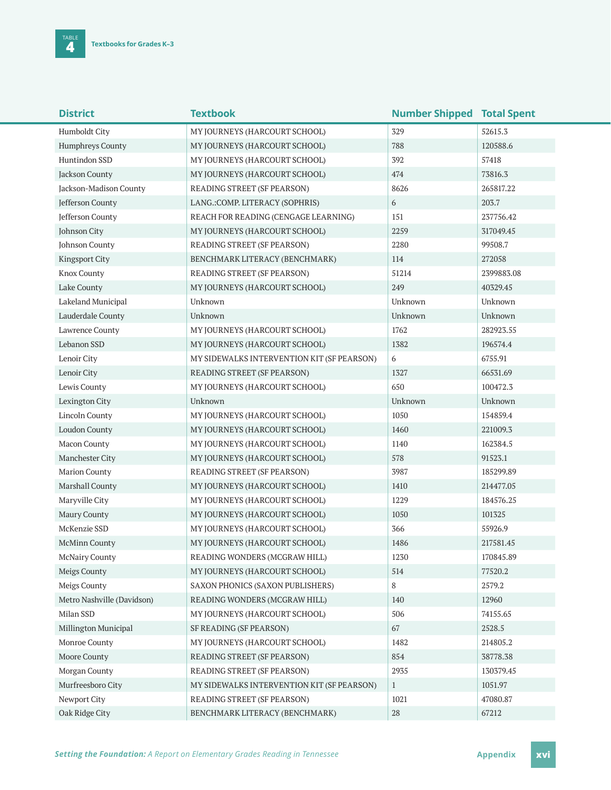| <b>District</b>            | <b>Textbook</b>                            | <b>Number Shipped Total Spent</b> |            |  |
|----------------------------|--------------------------------------------|-----------------------------------|------------|--|
| Humboldt City              | MY JOURNEYS (HARCOURT SCHOOL)              | 329                               | 52615.3    |  |
| <b>Humphreys County</b>    | MY JOURNEYS (HARCOURT SCHOOL)              | 788                               | 120588.6   |  |
| Huntindon SSD              | MY JOURNEYS (HARCOURT SCHOOL)              | 392                               | 57418      |  |
| Jackson County             | MY JOURNEYS (HARCOURT SCHOOL)              | 474                               | 73816.3    |  |
| Jackson-Madison County     | READING STREET (SF PEARSON)                | 8626                              | 265817.22  |  |
| Jefferson County           | LANG.: COMP. LITERACY (SOPHRIS)            | 6                                 | 203.7      |  |
| Jefferson County           | REACH FOR READING (CENGAGE LEARNING)       | 151                               | 237756.42  |  |
| Johnson City               | MY JOURNEYS (HARCOURT SCHOOL)              | 2259                              | 317049.45  |  |
| Johnson County             | READING STREET (SF PEARSON)                | 2280                              | 99508.7    |  |
| <b>Kingsport City</b>      | BENCHMARK LITERACY (BENCHMARK)             | 114                               | 272058     |  |
| Knox County                | READING STREET (SF PEARSON)                | 51214                             | 2399883.08 |  |
| Lake County                | MY JOURNEYS (HARCOURT SCHOOL)              | 249                               | 40329.45   |  |
| Lakeland Municipal         | Unknown                                    | Unknown                           | Unknown    |  |
| Lauderdale County          | Unknown                                    | Unknown                           | Unknown    |  |
| Lawrence County            | MY JOURNEYS (HARCOURT SCHOOL)              | 1762                              | 282923.55  |  |
| Lebanon SSD                | MY JOURNEYS (HARCOURT SCHOOL)              | 1382                              | 196574.4   |  |
| Lenoir City                | MY SIDEWALKS INTERVENTION KIT (SF PEARSON) | 6                                 | 6755.91    |  |
| Lenoir City                | READING STREET (SF PEARSON)                | 1327                              | 66531.69   |  |
| Lewis County               | MY JOURNEYS (HARCOURT SCHOOL)              | 650                               | 100472.3   |  |
| Lexington City             | Unknown                                    | Unknown                           | Unknown    |  |
| <b>Lincoln County</b>      | MY JOURNEYS (HARCOURT SCHOOL)              | 1050                              | 154859.4   |  |
| Loudon County              | MY JOURNEYS (HARCOURT SCHOOL)              | 1460                              | 221009.3   |  |
| Macon County               | MY JOURNEYS (HARCOURT SCHOOL)              | 1140                              | 162384.5   |  |
| Manchester City            | MY JOURNEYS (HARCOURT SCHOOL)              | 578                               | 91523.1    |  |
| <b>Marion County</b>       | READING STREET (SF PEARSON)                | 3987                              | 185299.89  |  |
| Marshall County            | MY JOURNEYS (HARCOURT SCHOOL)              | 1410                              | 214477.05  |  |
| Maryville City             | MY JOURNEYS (HARCOURT SCHOOL)              | 1229                              | 184576.25  |  |
| Maury County               | MY JOURNEYS (HARCOURT SCHOOL)              | 1050                              | 101325     |  |
| McKenzie SSD               | MY JOURNEYS (HARCOURT SCHOOL)              | 366                               | 55926.9    |  |
| <b>McMinn County</b>       | MY JOURNEYS (HARCOURT SCHOOL)              | 1486                              | 217581.45  |  |
| <b>McNairy County</b>      | READING WONDERS (MCGRAW HILL)              | 1230                              | 170845.89  |  |
| Meigs County               | MY JOURNEYS (HARCOURT SCHOOL)              | 514                               | 77520.2    |  |
| Meigs County               | SAXON PHONICS (SAXON PUBLISHERS)           | 8                                 | 2579.2     |  |
| Metro Nashville (Davidson) | READING WONDERS (MCGRAW HILL)              | 140                               | 12960      |  |
| Milan SSD                  | MY JOURNEYS (HARCOURT SCHOOL)              | 506                               | 74155.65   |  |
| Millington Municipal       | SF READING (SF PEARSON)                    | 67                                | 2528.5     |  |
| Monroe County              | MY JOURNEYS (HARCOURT SCHOOL)              | 1482                              | 214805.2   |  |
| Moore County               | READING STREET (SF PEARSON)                | 854                               | 38778.38   |  |
| Morgan County              | READING STREET (SF PEARSON)                | 2935                              | 130379.45  |  |
| Murfreesboro City          | MY SIDEWALKS INTERVENTION KIT (SF PEARSON) | $\mathbf{1}$                      | 1051.97    |  |
| Newport City               | READING STREET (SF PEARSON)                | 1021                              | 47080.87   |  |
| Oak Ridge City             | BENCHMARK LITERACY (BENCHMARK)             | $28\,$                            | 67212      |  |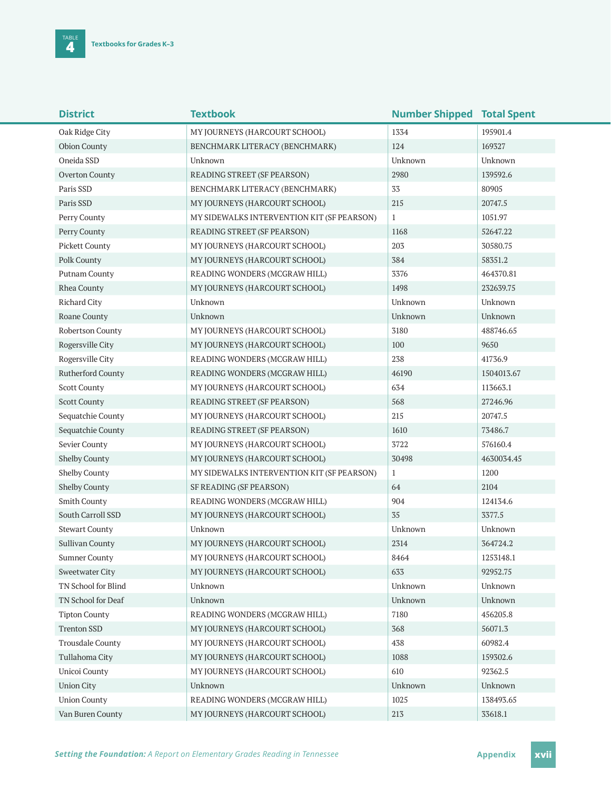| <b>District</b>         | <b>Textbook</b>                            | <b>Number Shipped Total Spent</b> |            |
|-------------------------|--------------------------------------------|-----------------------------------|------------|
| Oak Ridge City          | MY JOURNEYS (HARCOURT SCHOOL)              | 1334                              | 195901.4   |
| Obion County            | BENCHMARK LITERACY (BENCHMARK)             | 124                               | 169327     |
| Oneida SSD              | Unknown                                    | Unknown                           | Unknown    |
| Overton County          | READING STREET (SF PEARSON)                | 2980                              | 139592.6   |
| Paris SSD               | BENCHMARK LITERACY (BENCHMARK)             | 33                                | 80905      |
| Paris SSD               | MY JOURNEYS (HARCOURT SCHOOL)              | 215                               | 20747.5    |
| Perry County            | MY SIDEWALKS INTERVENTION KIT (SF PEARSON) | $\mathbf{1}$                      | 1051.97    |
| Perry County            | READING STREET (SF PEARSON)                | 1168                              | 52647.22   |
| Pickett County          | MY JOURNEYS (HARCOURT SCHOOL)              | 203                               | 30580.75   |
| Polk County             | MY JOURNEYS (HARCOURT SCHOOL)              | 384                               | 58351.2    |
| Putnam County           | READING WONDERS (MCGRAW HILL)              | 3376                              | 464370.81  |
| Rhea County             | MY JOURNEYS (HARCOURT SCHOOL)              | 1498                              | 232639.75  |
| Richard City            | Unknown                                    | Unknown                           | Unknown    |
| Roane County            | Unknown                                    | Unknown                           | Unknown    |
| Robertson County        | MY JOURNEYS (HARCOURT SCHOOL)              | 3180                              | 488746.65  |
| Rogersville City        | MY JOURNEYS (HARCOURT SCHOOL)              | 100                               | 9650       |
| Rogersville City        | READING WONDERS (MCGRAW HILL)              | 238                               | 41736.9    |
| Rutherford County       | READING WONDERS (MCGRAW HILL)              | 46190                             | 1504013.67 |
| <b>Scott County</b>     | MY JOURNEYS (HARCOURT SCHOOL)              | 634                               | 113663.1   |
| <b>Scott County</b>     | READING STREET (SF PEARSON)                | 568                               | 27246.96   |
| Sequatchie County       | MY JOURNEYS (HARCOURT SCHOOL)              | 215                               | 20747.5    |
| Sequatchie County       | READING STREET (SF PEARSON)                | 1610                              | 73486.7    |
| Sevier County           | MY JOURNEYS (HARCOURT SCHOOL)              | 3722                              | 576160.4   |
| <b>Shelby County</b>    | MY JOURNEYS (HARCOURT SCHOOL)              | 30498                             | 4630034.45 |
| <b>Shelby County</b>    | MY SIDEWALKS INTERVENTION KIT (SF PEARSON) | $\mathbf{1}$                      | 1200       |
| Shelby County           | SF READING (SF PEARSON)                    | 64                                | 2104       |
| Smith County            | READING WONDERS (MCGRAW HILL)              | 904                               | 124134.6   |
| South Carroll SSD       | MY JOURNEYS (HARCOURT SCHOOL)              | 35                                | 3377.5     |
| <b>Stewart County</b>   | Unknown                                    | Unknown                           | Unknown    |
| Sullivan County         | MY JOURNEYS (HARCOURT SCHOOL)              | 2314                              | 364724.2   |
| Sumner County           | MY JOURNEYS (HARCOURT SCHOOL)              | 8464                              | 1253148.1  |
| <b>Sweetwater City</b>  | MY JOURNEYS (HARCOURT SCHOOL)              | 633                               | 92952.75   |
| TN School for Blind     | Unknown                                    | Unknown                           | Unknown    |
| TN School for Deaf      | Unknown                                    | Unknown                           | Unknown    |
| <b>Tipton County</b>    | READING WONDERS (MCGRAW HILL)              | 7180                              | 456205.8   |
| <b>Trenton SSD</b>      | MY JOURNEYS (HARCOURT SCHOOL)              | 368                               | 56071.3    |
| <b>Trousdale County</b> | MY JOURNEYS (HARCOURT SCHOOL)              | 438                               | 60982.4    |
| Tullahoma City          | MY JOURNEYS (HARCOURT SCHOOL)              | 1088                              | 159302.6   |
| Unicoi County           | MY JOURNEYS (HARCOURT SCHOOL)              | 610                               | 92362.5    |
| <b>Union City</b>       | Unknown                                    | Unknown                           | Unknown    |
| <b>Union County</b>     | READING WONDERS (MCGRAW HILL)              | 1025                              | 138493.65  |
| Van Buren County        | MY JOURNEYS (HARCOURT SCHOOL)              | 213                               | 33618.1    |